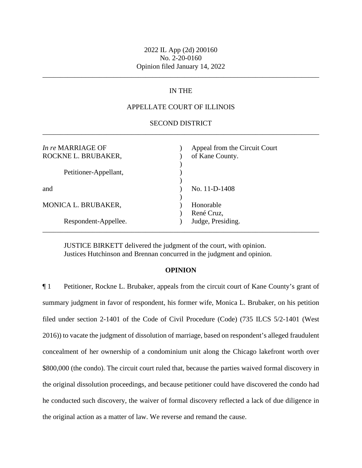\_\_\_\_\_\_\_\_\_\_\_\_\_\_\_\_\_\_\_\_\_\_\_\_\_\_\_\_\_\_\_\_\_\_\_\_\_\_\_\_\_\_\_\_\_\_\_\_\_\_\_\_\_\_\_\_\_\_\_\_\_\_\_\_\_\_\_\_\_\_\_\_\_\_\_\_\_\_

## IN THE

## APPELLATE COURT OF ILLINOIS

### SECOND DISTRICT \_\_\_\_\_\_\_\_\_\_\_\_\_\_\_\_\_\_\_\_\_\_\_\_\_\_\_\_\_\_\_\_\_\_\_\_\_\_\_\_\_\_\_\_\_\_\_\_\_\_\_\_\_\_\_\_\_\_\_\_\_\_\_\_\_\_\_\_\_\_\_\_\_\_\_\_\_\_

| In re MARRIAGE OF<br>ROCKNE L. BRUBAKER, | Appeal from the Circuit Court<br>of Kane County. |
|------------------------------------------|--------------------------------------------------|
| Petitioner-Appellant,                    |                                                  |
| and                                      | No. 11-D-1408                                    |
| MONICA L. BRUBAKER,                      | Honorable<br>René Cruz,                          |
| Respondent-Appellee.                     | Judge, Presiding.                                |

JUSTICE BIRKETT delivered the judgment of the court, with opinion. Justices Hutchinson and Brennan concurred in the judgment and opinion.

#### **OPINION**

¶ 1 Petitioner, Rockne L. Brubaker, appeals from the circuit court of Kane County's grant of summary judgment in favor of respondent, his former wife, Monica L. Brubaker, on his petition filed under section 2-1401 of the Code of Civil Procedure (Code) (735 ILCS 5/2-1401 (West 2016)) to vacate the judgment of dissolution of marriage, based on respondent's alleged fraudulent concealment of her ownership of a condominium unit along the Chicago lakefront worth over \$800,000 (the condo). The circuit court ruled that, because the parties waived formal discovery in the original dissolution proceedings, and because petitioner could have discovered the condo had he conducted such discovery, the waiver of formal discovery reflected a lack of due diligence in the original action as a matter of law. We reverse and remand the cause.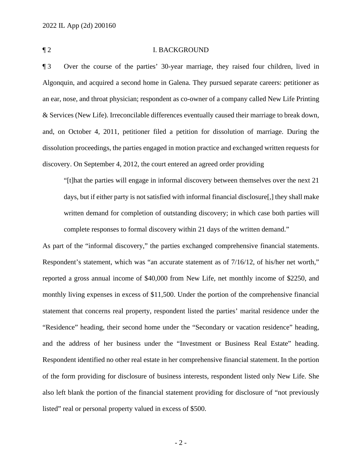### ¶ 2 I. BACKGROUND

¶ 3 Over the course of the parties' 30-year marriage, they raised four children, lived in Algonquin, and acquired a second home in Galena. They pursued separate careers: petitioner as an ear, nose, and throat physician; respondent as co-owner of a company called New Life Printing & Services (New Life). Irreconcilable differences eventually caused their marriage to break down, and, on October 4, 2011, petitioner filed a petition for dissolution of marriage. During the dissolution proceedings, the parties engaged in motion practice and exchanged written requests for discovery. On September 4, 2012, the court entered an agreed order providing

"[t]hat the parties will engage in informal discovery between themselves over the next 21 days, but if either party is not satisfied with informal financial disclosure[,] they shall make written demand for completion of outstanding discovery; in which case both parties will complete responses to formal discovery within 21 days of the written demand."

As part of the "informal discovery," the parties exchanged comprehensive financial statements. Respondent's statement, which was "an accurate statement as of 7/16/12, of his/her net worth," reported a gross annual income of \$40,000 from New Life, net monthly income of \$2250, and monthly living expenses in excess of \$11,500. Under the portion of the comprehensive financial statement that concerns real property, respondent listed the parties' marital residence under the "Residence" heading, their second home under the "Secondary or vacation residence" heading, and the address of her business under the "Investment or Business Real Estate" heading. Respondent identified no other real estate in her comprehensive financial statement. In the portion of the form providing for disclosure of business interests, respondent listed only New Life. She also left blank the portion of the financial statement providing for disclosure of "not previously listed" real or personal property valued in excess of \$500.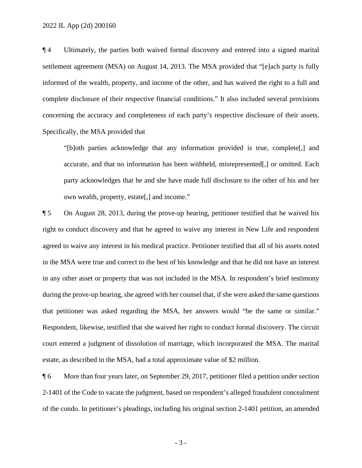¶ 4 Ultimately, the parties both waived formal discovery and entered into a signed marital settlement agreement (MSA) on August 14, 2013. The MSA provided that "[e]ach party is fully informed of the wealth, property, and income of the other, and has waived the right to a full and complete disclosure of their respective financial conditions." It also included several provisions concerning the accuracy and completeness of each party's respective disclosure of their assets. Specifically, the MSA provided that

"[b]oth parties acknowledge that any information provided is true, complete[,] and accurate, and that no information has been withheld, misrepresented[,] or omitted. Each party acknowledges that he and she have made full disclosure to the other of his and her own wealth, property, estate[,] and income."

¶ 5 On August 28, 2013, during the prove-up hearing, petitioner testified that he waived his right to conduct discovery and that he agreed to waive any interest in New Life and respondent agreed to waive any interest in his medical practice. Petitioner testified that all of his assets noted in the MSA were true and correct to the best of his knowledge and that he did not have an interest in any other asset or property that was not included in the MSA. In respondent's brief testimony during the prove-up hearing, she agreed with her counsel that, if she were asked the same questions that petitioner was asked regarding the MSA, her answers would "be the same or similar." Respondent, likewise, testified that she waived her right to conduct formal discovery. The circuit court entered a judgment of dissolution of marriage, which incorporated the MSA. The marital estate, as described in the MSA, had a total approximate value of \$2 million.

¶ 6 More than four years later, on September 29, 2017, petitioner filed a petition under section 2-1401 of the Code to vacate the judgment, based on respondent's alleged fraudulent concealment of the condo. In petitioner's pleadings, including his original section 2-1401 petition, an amended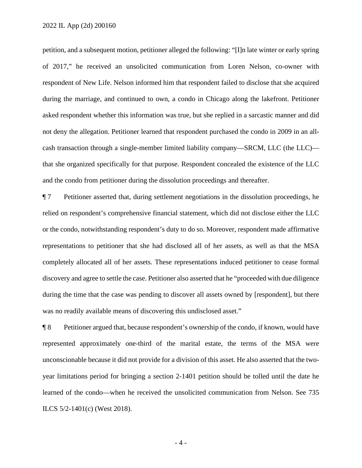petition, and a subsequent motion, petitioner alleged the following: "[I]n late winter or early spring of 2017," he received an unsolicited communication from Loren Nelson, co-owner with respondent of New Life. Nelson informed him that respondent failed to disclose that she acquired during the marriage, and continued to own, a condo in Chicago along the lakefront. Petitioner asked respondent whether this information was true, but she replied in a sarcastic manner and did not deny the allegation. Petitioner learned that respondent purchased the condo in 2009 in an allcash transaction through a single-member limited liability company—SRCM, LLC (the LLC) that she organized specifically for that purpose. Respondent concealed the existence of the LLC and the condo from petitioner during the dissolution proceedings and thereafter.

¶ 7 Petitioner asserted that, during settlement negotiations in the dissolution proceedings, he relied on respondent's comprehensive financial statement, which did not disclose either the LLC or the condo, notwithstanding respondent's duty to do so. Moreover, respondent made affirmative representations to petitioner that she had disclosed all of her assets, as well as that the MSA completely allocated all of her assets. These representations induced petitioner to cease formal discovery and agree to settle the case. Petitioner also asserted that he "proceeded with due diligence during the time that the case was pending to discover all assets owned by [respondent], but there was no readily available means of discovering this undisclosed asset."

¶ 8 Petitioner argued that, because respondent's ownership of the condo, if known, would have represented approximately one-third of the marital estate, the terms of the MSA were unconscionable because it did not provide for a division of this asset. He also asserted that the twoyear limitations period for bringing a section 2-1401 petition should be tolled until the date he learned of the condo—when he received the unsolicited communication from Nelson. See 735 ILCS 5/2-1401(c) (West 2018).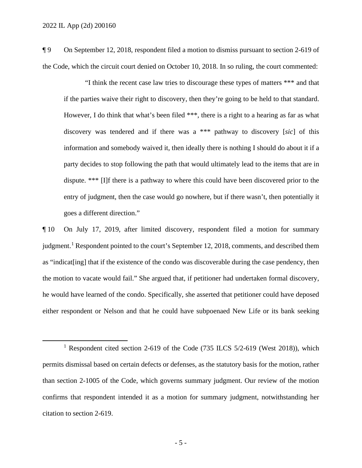¶ 9 On September 12, 2018, respondent filed a motion to dismiss pursuant to section 2-619 of the Code, which the circuit court denied on October 10, 2018. In so ruling, the court commented:

"I think the recent case law tries to discourage these types of matters \*\*\* and that if the parties waive their right to discovery, then they're going to be held to that standard. However, I do think that what's been filed \*\*\*, there is a right to a hearing as far as what discovery was tendered and if there was a \*\*\* pathway to discovery [*sic*] of this information and somebody waived it, then ideally there is nothing I should do about it if a party decides to stop following the path that would ultimately lead to the items that are in dispute. \*\*\* [I]f there is a pathway to where this could have been discovered prior to the entry of judgment, then the case would go nowhere, but if there wasn't, then potentially it goes a different direction."

¶ 10 On July 17, 2019, after limited discovery, respondent filed a motion for summary judgment.<sup>1</sup> Respondent pointed to the court's September 12, 2018, comments, and described them as "indicat[ing] that if the existence of the condo was discoverable during the case pendency, then the motion to vacate would fail." She argued that, if petitioner had undertaken formal discovery, he would have learned of the condo. Specifically, she asserted that petitioner could have deposed either respondent or Nelson and that he could have subpoenaed New Life or its bank seeking

<sup>&</sup>lt;sup>1</sup> Respondent cited section 2-619 of the Code (735 ILCS 5/2-619 (West 2018)), which permits dismissal based on certain defects or defenses, as the statutory basis for the motion, rather than section 2-1005 of the Code, which governs summary judgment. Our review of the motion confirms that respondent intended it as a motion for summary judgment, notwithstanding her citation to section 2-619.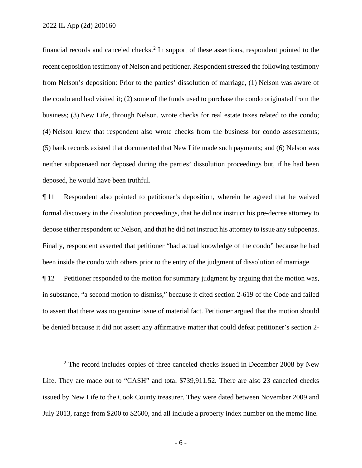financial records and canceled checks.<sup>2</sup> In support of these assertions, respondent pointed to the recent deposition testimony of Nelson and petitioner. Respondent stressed the following testimony from Nelson's deposition: Prior to the parties' dissolution of marriage, (1) Nelson was aware of the condo and had visited it; (2) some of the funds used to purchase the condo originated from the business; (3) New Life, through Nelson, wrote checks for real estate taxes related to the condo; (4) Nelson knew that respondent also wrote checks from the business for condo assessments; (5) bank records existed that documented that New Life made such payments; and (6) Nelson was neither subpoenaed nor deposed during the parties' dissolution proceedings but, if he had been deposed, he would have been truthful.

¶ 11 Respondent also pointed to petitioner's deposition, wherein he agreed that he waived formal discovery in the dissolution proceedings, that he did not instruct his pre-decree attorney to depose either respondent or Nelson, and that he did not instruct his attorney to issue any subpoenas. Finally, respondent asserted that petitioner "had actual knowledge of the condo" because he had been inside the condo with others prior to the entry of the judgment of dissolution of marriage.

¶ 12 Petitioner responded to the motion for summary judgment by arguing that the motion was, in substance, "a second motion to dismiss," because it cited section 2-619 of the Code and failed to assert that there was no genuine issue of material fact. Petitioner argued that the motion should be denied because it did not assert any affirmative matter that could defeat petitioner's section 2-

 $2$  The record includes copies of three canceled checks issued in December 2008 by New Life. They are made out to "CASH" and total \$739,911.52. There are also 23 canceled checks issued by New Life to the Cook County treasurer. They were dated between November 2009 and July 2013, range from \$200 to \$2600, and all include a property index number on the memo line.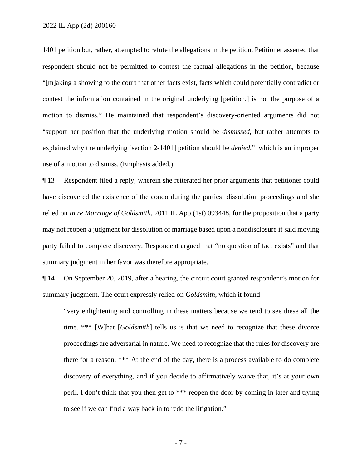2022 IL App (2d) 200160

1401 petition but, rather, attempted to refute the allegations in the petition. Petitioner asserted that respondent should not be permitted to contest the factual allegations in the petition, because "[m]aking a showing to the court that other facts exist, facts which could potentially contradict or contest the information contained in the original underlying [petition,] is not the purpose of a motion to dismiss." He maintained that respondent's discovery-oriented arguments did not "support her position that the underlying motion should be *dismissed*, but rather attempts to explained why the underlying [section 2-1401] petition should be *denied*," which is an improper use of a motion to dismiss. (Emphasis added.)

¶ 13 Respondent filed a reply, wherein she reiterated her prior arguments that petitioner could have discovered the existence of the condo during the parties' dissolution proceedings and she relied on *In re Marriage of Goldsmith*, 2011 IL App (1st) 093448, for the proposition that a party may not reopen a judgment for dissolution of marriage based upon a nondisclosure if said moving party failed to complete discovery. Respondent argued that "no question of fact exists" and that summary judgment in her favor was therefore appropriate.

¶ 14 On September 20, 2019, after a hearing, the circuit court granted respondent's motion for summary judgment. The court expressly relied on *Goldsmith*, which it found

"very enlightening and controlling in these matters because we tend to see these all the time. \*\*\* [W]hat [*Goldsmith*] tells us is that we need to recognize that these divorce proceedings are adversarial in nature. We need to recognize that the rules for discovery are there for a reason. \*\*\* At the end of the day, there is a process available to do complete discovery of everything, and if you decide to affirmatively waive that, it's at your own peril. I don't think that you then get to \*\*\* reopen the door by coming in later and trying to see if we can find a way back in to redo the litigation."

- 7 -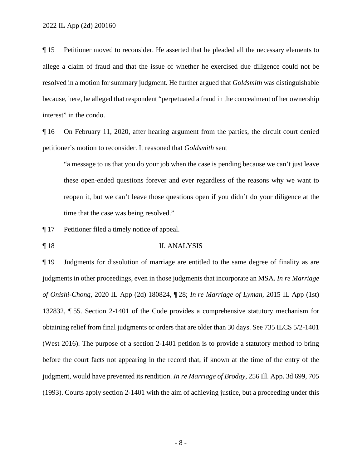¶ 15 Petitioner moved to reconsider. He asserted that he pleaded all the necessary elements to allege a claim of fraud and that the issue of whether he exercised due diligence could not be resolved in a motion for summary judgment. He further argued that *Goldsmith* was distinguishable because, here, he alleged that respondent "perpetuated a fraud in the concealment of her ownership interest" in the condo.

¶ 16 On February 11, 2020, after hearing argument from the parties, the circuit court denied petitioner's motion to reconsider. It reasoned that *Goldsmith* sent

"a message to us that you do your job when the case is pending because we can't just leave these open-ended questions forever and ever regardless of the reasons why we want to reopen it, but we can't leave those questions open if you didn't do your diligence at the time that the case was being resolved."

¶ 17 Petitioner filed a timely notice of appeal.

¶ 18 II. ANALYSIS

¶ 19 Judgments for dissolution of marriage are entitled to the same degree of finality as are judgments in other proceedings, even in those judgments that incorporate an MSA. *In re Marriage of Onishi-Chong*, 2020 IL App (2d) 180824, ¶ 28; *In re Marriage of Lyman*, 2015 IL App (1st) 132832, ¶ 55. Section 2-1401 of the Code provides a comprehensive statutory mechanism for obtaining relief from final judgments or orders that are older than 30 days. See 735 ILCS 5/2-1401 (West 2016). The purpose of a section 2-1401 petition is to provide a statutory method to bring before the court facts not appearing in the record that, if known at the time of the entry of the judgment, would have prevented its rendition. *In re Marriage of Broday*, 256 Ill. App. 3d 699, 705 (1993). Courts apply section 2-1401 with the aim of achieving justice, but a proceeding under this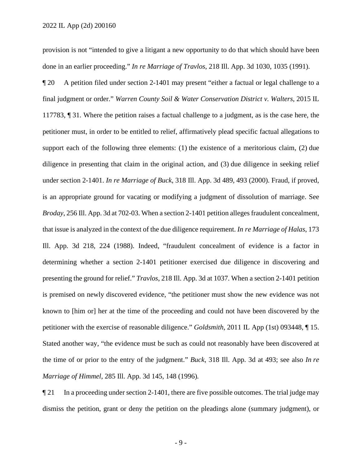provision is not "intended to give a litigant a new opportunity to do that which should have been done in an earlier proceeding." *In re Marriage of Travlos*, 218 Ill. App. 3d 1030, 1035 (1991).

¶ 20 A petition filed under section 2-1401 may present "either a factual or legal challenge to a final judgment or order." *Warren County Soil & Water Conservation District v. Walters*, 2015 IL 117783, ¶ 31. Where the petition raises a factual challenge to a judgment, as is the case here, the petitioner must, in order to be entitled to relief, affirmatively plead specific factual allegations to support each of the following three elements: (1) the existence of a meritorious claim, (2) due diligence in presenting that claim in the original action, and (3) due diligence in seeking relief under section 2-1401. *In re Marriage of Buck*, 318 Ill. App. 3d 489, 493 (2000). Fraud, if proved, is an appropriate ground for vacating or modifying a judgment of dissolution of marriage. See *Broday*, 256 Ill. App. 3d at 702-03. When a section 2-1401 petition alleges fraudulent concealment, that issue is analyzed in the context of the due diligence requirement. *In re Marriage of Halas*, 173 Ill. App. 3d 218, 224 (1988). Indeed, "fraudulent concealment of evidence is a factor in determining whether a section 2-1401 petitioner exercised due diligence in discovering and presenting the ground for relief." *Travlos*, 218 Ill. App. 3d at 1037. When a section 2-1401 petition is premised on newly discovered evidence, "the petitioner must show the new evidence was not known to [him or] her at the time of the proceeding and could not have been discovered by the petitioner with the exercise of reasonable diligence." *Goldsmith*, 2011 IL App (1st) 093448, ¶ 15. Stated another way, "the evidence must be such as could not reasonably have been discovered at the time of or prior to the entry of the judgment." *Buck*, 318 Ill. App. 3d at 493; see also *In re Marriage of Himmel*, 285 Ill. App. 3d 145, 148 (1996)*.*

¶ 21 In a proceeding under section 2-1401, there are five possible outcomes. The trial judge may dismiss the petition, grant or deny the petition on the pleadings alone (summary judgment), or

- 9 -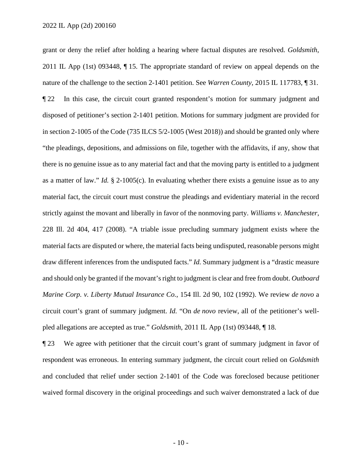grant or deny the relief after holding a hearing where factual disputes are resolved. *Goldsmith*, 2011 IL App (1st) 093448, ¶ 15. The appropriate standard of review on appeal depends on the nature of the challenge to the section 2-1401 petition. See *Warren County*, 2015 IL 117783, ¶ 31. ¶ 22 In this case, the circuit court granted respondent's motion for summary judgment and disposed of petitioner's section 2-1401 petition. Motions for summary judgment are provided for in section 2-1005 of the Code (735 ILCS 5/2-1005 (West 2018)) and should be granted only where "the pleadings, depositions, and admissions on file, together with the affidavits, if any, show that there is no genuine issue as to any material fact and that the moving party is entitled to a judgment as a matter of law." *Id.* § 2-1005(c). In evaluating whether there exists a genuine issue as to any material fact, the circuit court must construe the pleadings and evidentiary material in the record strictly against the movant and liberally in favor of the nonmoving party. *Williams v. Manchester*, 228 Ill. 2d 404, 417 (2008). "A triable issue precluding summary judgment exists where the material facts are disputed or where, the material facts being undisputed, reasonable persons might draw different inferences from the undisputed facts." *Id.* Summary judgment is a "drastic measure and should only be granted if the movant's right to judgment is clear and free from doubt. *Outboard Marine Corp. v. Liberty Mutual Insurance Co.*, 154 Ill. 2d 90, 102 (1992). We review *de novo* a circuit court's grant of summary judgment. *Id.* "On *de novo* review, all of the petitioner's wellpled allegations are accepted as true." *Goldsmith*, 2011 IL App (1st) 093448, ¶ 18.

¶ 23 We agree with petitioner that the circuit court's grant of summary judgment in favor of respondent was erroneous. In entering summary judgment, the circuit court relied on *Goldsmith* and concluded that relief under section 2-1401 of the Code was foreclosed because petitioner waived formal discovery in the original proceedings and such waiver demonstrated a lack of due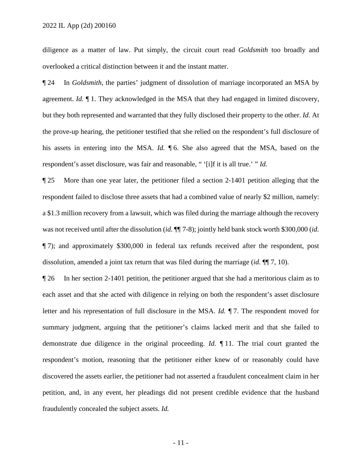diligence as a matter of law. Put simply, the circuit court read *Goldsmith* too broadly and overlooked a critical distinction between it and the instant matter.

¶ 24 In *Goldsmith*, the parties' judgment of dissolution of marriage incorporated an MSA by agreement. *Id.* ¶ 1. They acknowledged in the MSA that they had engaged in limited discovery, but they both represented and warranted that they fully disclosed their property to the other. *Id.* At the prove-up hearing, the petitioner testified that she relied on the respondent's full disclosure of his assets in entering into the MSA. *Id.* ¶ 6. She also agreed that the MSA, based on the respondent's asset disclosure, was fair and reasonable, " '[i]f it is all true.' " *Id.*

¶ 25 More than one year later, the petitioner filed a section 2-1401 petition alleging that the respondent failed to disclose three assets that had a combined value of nearly \$2 million, namely: a \$1.3 million recovery from a lawsuit, which was filed during the marriage although the recovery was not received until after the dissolution (*id.*  $\P$  7-8); jointly held bank stock worth \$300,000 (*id.*) ¶ 7); and approximately \$300,000 in federal tax refunds received after the respondent, post dissolution, amended a joint tax return that was filed during the marriage (*id.* ¶¶ 7, 10).

¶ 26 In her section 2-1401 petition, the petitioner argued that she had a meritorious claim as to each asset and that she acted with diligence in relying on both the respondent's asset disclosure letter and his representation of full disclosure in the MSA. *Id.* ¶ 7. The respondent moved for summary judgment, arguing that the petitioner's claims lacked merit and that she failed to demonstrate due diligence in the original proceeding. *Id.* ¶ 11. The trial court granted the respondent's motion, reasoning that the petitioner either knew of or reasonably could have discovered the assets earlier, the petitioner had not asserted a fraudulent concealment claim in her petition, and, in any event, her pleadings did not present credible evidence that the husband fraudulently concealed the subject assets. *Id.*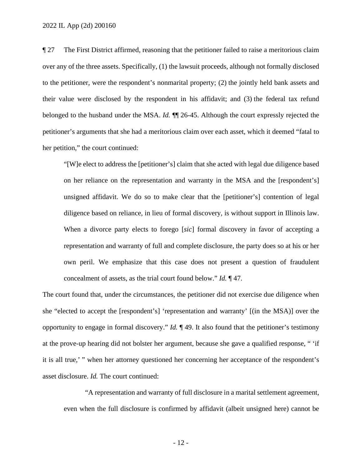¶ 27 The First District affirmed, reasoning that the petitioner failed to raise a meritorious claim over any of the three assets. Specifically, (1) the lawsuit proceeds, although not formally disclosed to the petitioner, were the respondent's nonmarital property; (2) the jointly held bank assets and their value were disclosed by the respondent in his affidavit; and (3) the federal tax refund belonged to the husband under the MSA. *Id.* ¶¶ 26-45. Although the court expressly rejected the petitioner's arguments that she had a meritorious claim over each asset, which it deemed "fatal to her petition," the court continued:

"[W]e elect to address the [petitioner's] claim that she acted with legal due diligence based on her reliance on the representation and warranty in the MSA and the [respondent's] unsigned affidavit. We do so to make clear that the [petitioner's] contention of legal diligence based on reliance, in lieu of formal discovery, is without support in Illinois law. When a divorce party elects to forego [*sic*] formal discovery in favor of accepting a representation and warranty of full and complete disclosure, the party does so at his or her own peril. We emphasize that this case does not present a question of fraudulent concealment of assets, as the trial court found below." *Id.* ¶ 47.

The court found that, under the circumstances, the petitioner did not exercise due diligence when she "elected to accept the [respondent's] 'representation and warranty' [(in the MSA)] over the opportunity to engage in formal discovery." *Id.* ¶ 49. It also found that the petitioner's testimony at the prove-up hearing did not bolster her argument, because she gave a qualified response, " 'if it is all true,' " when her attorney questioned her concerning her acceptance of the respondent's asset disclosure. *Id.* The court continued:

"A representation and warranty of full disclosure in a marital settlement agreement, even when the full disclosure is confirmed by affidavit (albeit unsigned here) cannot be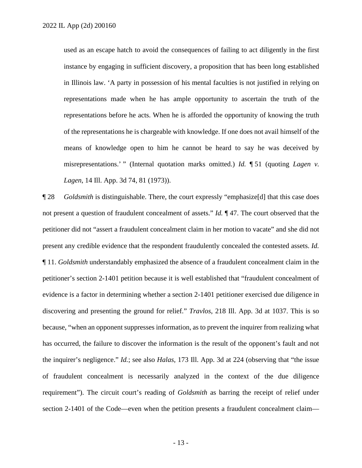used as an escape hatch to avoid the consequences of failing to act diligently in the first instance by engaging in sufficient discovery, a proposition that has been long established in Illinois law. 'A party in possession of his mental faculties is not justified in relying on representations made when he has ample opportunity to ascertain the truth of the representations before he acts. When he is afforded the opportunity of knowing the truth of the representations he is chargeable with knowledge. If one does not avail himself of the means of knowledge open to him he cannot be heard to say he was deceived by misrepresentations.' " (Internal quotation marks omitted.) *Id.* ¶ 51 (quoting *Lagen v. Lagen*, 14 Ill. App. 3d 74, 81 (1973)).

¶ 28 *Goldsmith* is distinguishable. There, the court expressly "emphasize[d] that this case does not present a question of fraudulent concealment of assets." *Id.* ¶ 47. The court observed that the petitioner did not "assert a fraudulent concealment claim in her motion to vacate" and she did not present any credible evidence that the respondent fraudulently concealed the contested assets. *Id.* ¶ 11. *Goldsmith* understandably emphasized the absence of a fraudulent concealment claim in the petitioner's section 2-1401 petition because it is well established that "fraudulent concealment of evidence is a factor in determining whether a section 2-1401 petitioner exercised due diligence in discovering and presenting the ground for relief." *Travlos*, 218 Ill. App. 3d at 1037. This is so because, "when an opponent suppresses information, as to prevent the inquirer from realizing what has occurred, the failure to discover the information is the result of the opponent's fault and not the inquirer's negligence." *Id.*; see also *Halas*, 173 Ill. App. 3d at 224 (observing that "the issue of fraudulent concealment is necessarily analyzed in the context of the due diligence requirement"). The circuit court's reading of *Goldsmith* as barring the receipt of relief under section 2-1401 of the Code—even when the petition presents a fraudulent concealment claim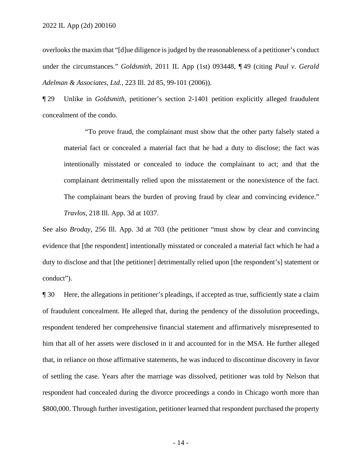overlooks the maxim that "[d]ue diligence is judged by the reasonableness of a petitioner's conduct under the circumstances." *Goldsmith*, 2011 IL App (1st) 093448, ¶ 49 (citing *Paul v. Gerald Adelman & Associates, Ltd.*, 223 Ill. 2d 85, 99-101 (2006)).

¶ 29 Unlike in *Goldsmith*, petitioner's section 2-1401 petition explicitly alleged fraudulent concealment of the condo.

"To prove fraud, the complainant must show that the other party falsely stated a material fact or concealed a material fact that he had a duty to disclose; the fact was intentionally misstated or concealed to induce the complainant to act; and that the complainant detrimentally relied upon the misstatement or the nonexistence of the fact. The complainant bears the burden of proving fraud by clear and convincing evidence." *Travlos*, 218 Ill. App. 3d at 1037.

See also *Broday*, 256 Ill. App. 3d at 703 (the petitioner "must show by clear and convincing evidence that [the respondent] intentionally misstated or concealed a material fact which he had a duty to disclose and that [the petitioner] detrimentally relied upon [the respondent's] statement or conduct").

¶ 30 Here, the allegations in petitioner's pleadings, if accepted as true, sufficiently state a claim of fraudulent concealment. He alleged that, during the pendency of the dissolution proceedings, respondent tendered her comprehensive financial statement and affirmatively misrepresented to him that all of her assets were disclosed in it and accounted for in the MSA. He further alleged that, in reliance on those affirmative statements, he was induced to discontinue discovery in favor of settling the case. Years after the marriage was dissolved, petitioner was told by Nelson that respondent had concealed during the divorce proceedings a condo in Chicago worth more than \$800,000. Through further investigation, petitioner learned that respondent purchased the property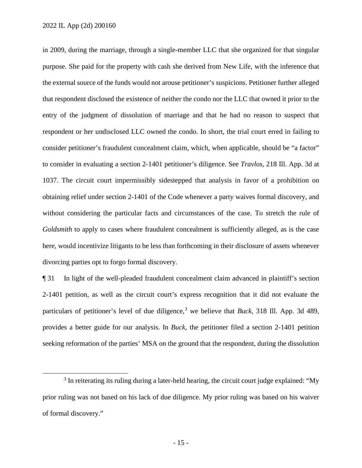in 2009, during the marriage, through a single-member LLC that she organized for that singular purpose. She paid for the property with cash she derived from New Life, with the inference that the external source of the funds would not arouse petitioner's suspicions. Petitioner further alleged that respondent disclosed the existence of neither the condo nor the LLC that owned it prior to the entry of the judgment of dissolution of marriage and that he had no reason to suspect that respondent or her undisclosed LLC owned the condo. In short, the trial court erred in failing to consider petitioner's fraudulent concealment claim, which, when applicable, should be "a factor" to consider in evaluating a section 2-1401 petitioner's diligence. See *Travlos*, 218 Ill. App. 3d at 1037. The circuit court impermissibly sidestepped that analysis in favor of a prohibition on obtaining relief under section 2-1401 of the Code whenever a party waives formal discovery, and without considering the particular facts and circumstances of the case. To stretch the rule of *Goldsmith* to apply to cases where fraudulent concealment is sufficiently alleged, as is the case here, would incentivize litigants to be less than forthcoming in their disclosure of assets whenever divorcing parties opt to forgo formal discovery.

¶ 31 In light of the well-pleaded fraudulent concealment claim advanced in plaintiff's section 2-1401 petition, as well as the circuit court's express recognition that it did not evaluate the particulars of petitioner's level of due diligence,<sup>3</sup> we believe that *Buck*, 318 Ill. App. 3d 489, provides a better guide for our analysis. In *Buck*, the petitioner filed a section 2-1401 petition seeking reformation of the parties' MSA on the ground that the respondent, during the dissolution

<sup>&</sup>lt;sup>3</sup> In reiterating its ruling during a later-held hearing, the circuit court judge explained: "My prior ruling was not based on his lack of due diligence. My prior ruling was based on his waiver of formal discovery."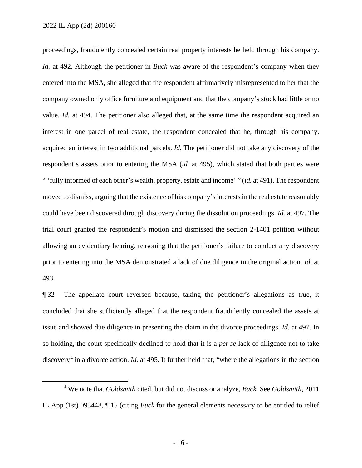proceedings, fraudulently concealed certain real property interests he held through his company. *Id.* at 492. Although the petitioner in *Buck* was aware of the respondent's company when they entered into the MSA, she alleged that the respondent affirmatively misrepresented to her that the company owned only office furniture and equipment and that the company's stock had little or no value. *Id.* at 494. The petitioner also alleged that, at the same time the respondent acquired an interest in one parcel of real estate, the respondent concealed that he, through his company, acquired an interest in two additional parcels. *Id.* The petitioner did not take any discovery of the respondent's assets prior to entering the MSA (*id.* at 495), which stated that both parties were " 'fully informed of each other's wealth, property, estate and income' " (*id.* at 491). The respondent moved to dismiss, arguing that the existence of his company's interests in the real estate reasonably could have been discovered through discovery during the dissolution proceedings. *Id.* at 497. The trial court granted the respondent's motion and dismissed the section 2-1401 petition without allowing an evidentiary hearing, reasoning that the petitioner's failure to conduct any discovery prior to entering into the MSA demonstrated a lack of due diligence in the original action. *Id.* at 493.

¶ 32 The appellate court reversed because, taking the petitioner's allegations as true, it concluded that she sufficiently alleged that the respondent fraudulently concealed the assets at issue and showed due diligence in presenting the claim in the divorce proceedings. *Id.* at 497. In so holding, the court specifically declined to hold that it is a *per se* lack of diligence not to take discovery<sup>4</sup> in a divorce action. *Id.* at 495. It further held that, "where the allegations in the section

<sup>4</sup> We note that *Goldsmith* cited, but did not discuss or analyze, *Buck*. See *Goldsmith*, 2011 IL App (1st) 093448, ¶ 15 (citing *Buck* for the general elements necessary to be entitled to relief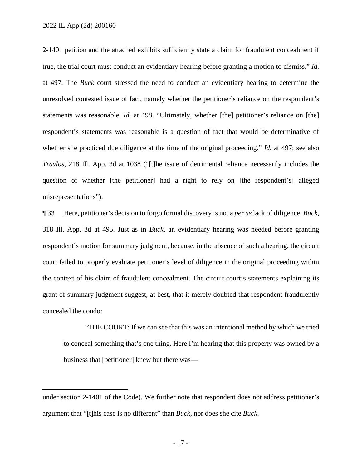2022 IL App (2d) 200160

2-1401 petition and the attached exhibits sufficiently state a claim for fraudulent concealment if true, the trial court must conduct an evidentiary hearing before granting a motion to dismiss." *Id.* at 497. The *Buck* court stressed the need to conduct an evidentiary hearing to determine the unresolved contested issue of fact, namely whether the petitioner's reliance on the respondent's statements was reasonable. *Id.* at 498. "Ultimately, whether [the] petitioner's reliance on [the] respondent's statements was reasonable is a question of fact that would be determinative of whether she practiced due diligence at the time of the original proceeding." *Id.* at 497; see also *Travlos*, 218 Ill. App. 3d at 1038 ("[t]he issue of detrimental reliance necessarily includes the question of whether [the petitioner] had a right to rely on [the respondent's] alleged misrepresentations").

¶ 33 Here, petitioner's decision to forgo formal discovery is not a *per se* lack of diligence. *Buck*, 318 Ill. App. 3d at 495. Just as in *Buck*, an evidentiary hearing was needed before granting respondent's motion for summary judgment, because, in the absence of such a hearing, the circuit court failed to properly evaluate petitioner's level of diligence in the original proceeding within the context of his claim of fraudulent concealment. The circuit court's statements explaining its grant of summary judgment suggest, at best, that it merely doubted that respondent fraudulently concealed the condo:

"THE COURT: If we can see that this was an intentional method by which we tried to conceal something that's one thing. Here I'm hearing that this property was owned by a business that [petitioner] knew but there was—

under section 2-1401 of the Code). We further note that respondent does not address petitioner's argument that "[t]his case is no different" than *Buck*, nor does she cite *Buck*.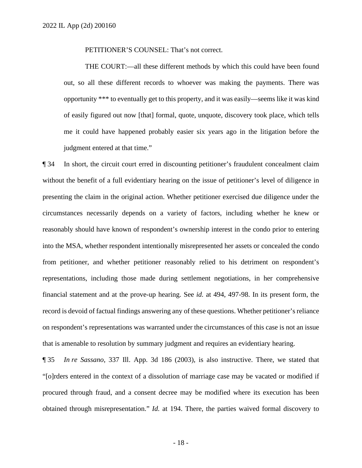PETITIONER'S COUNSEL: That's not correct.

THE COURT:—all these different methods by which this could have been found out, so all these different records to whoever was making the payments. There was opportunity \*\*\* to eventually get to this property, and it was easily—seems like it was kind of easily figured out now [that] formal, quote, unquote, discovery took place, which tells me it could have happened probably easier six years ago in the litigation before the judgment entered at that time."

¶ 34 In short, the circuit court erred in discounting petitioner's fraudulent concealment claim without the benefit of a full evidentiary hearing on the issue of petitioner's level of diligence in presenting the claim in the original action. Whether petitioner exercised due diligence under the circumstances necessarily depends on a variety of factors, including whether he knew or reasonably should have known of respondent's ownership interest in the condo prior to entering into the MSA, whether respondent intentionally misrepresented her assets or concealed the condo from petitioner, and whether petitioner reasonably relied to his detriment on respondent's representations, including those made during settlement negotiations, in her comprehensive financial statement and at the prove-up hearing. See *id.* at 494, 497-98. In its present form, the record is devoid of factual findings answering any of these questions. Whether petitioner's reliance on respondent's representations was warranted under the circumstances of this case is not an issue that is amenable to resolution by summary judgment and requires an evidentiary hearing.

¶ 35 *In re Sassano*, 337 Ill. App. 3d 186 (2003), is also instructive. There, we stated that "[o]rders entered in the context of a dissolution of marriage case may be vacated or modified if procured through fraud, and a consent decree may be modified where its execution has been obtained through misrepresentation." *Id.* at 194. There, the parties waived formal discovery to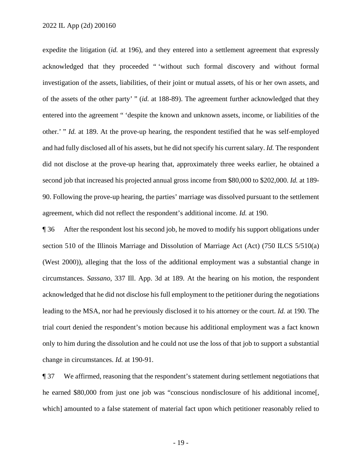expedite the litigation (*id.* at 196), and they entered into a settlement agreement that expressly acknowledged that they proceeded " 'without such formal discovery and without formal investigation of the assets, liabilities, of their joint or mutual assets, of his or her own assets, and of the assets of the other party' " (*id.* at 188-89). The agreement further acknowledged that they entered into the agreement " 'despite the known and unknown assets, income, or liabilities of the other.' " *Id.* at 189. At the prove-up hearing, the respondent testified that he was self-employed and had fully disclosed all of his assets, but he did not specify his current salary. *Id.* The respondent did not disclose at the prove-up hearing that, approximately three weeks earlier, he obtained a second job that increased his projected annual gross income from \$80,000 to \$202,000. *Id.* at 189- 90. Following the prove-up hearing, the parties' marriage was dissolved pursuant to the settlement agreement, which did not reflect the respondent's additional income. *Id.* at 190.

¶ 36 After the respondent lost his second job, he moved to modify his support obligations under section 510 of the Illinois Marriage and Dissolution of Marriage Act (Act) (750 ILCS 5/510(a) (West 2000)), alleging that the loss of the additional employment was a substantial change in circumstances. *Sassano*, 337 Ill. App. 3d at 189. At the hearing on his motion, the respondent acknowledged that he did not disclose his full employment to the petitioner during the negotiations leading to the MSA, nor had he previously disclosed it to his attorney or the court. *Id.* at 190. The trial court denied the respondent's motion because his additional employment was a fact known only to him during the dissolution and he could not use the loss of that job to support a substantial change in circumstances. *Id.* at 190-91.

¶ 37 We affirmed, reasoning that the respondent's statement during settlement negotiations that he earned \$80,000 from just one job was "conscious nondisclosure of his additional income[, which] amounted to a false statement of material fact upon which petitioner reasonably relied to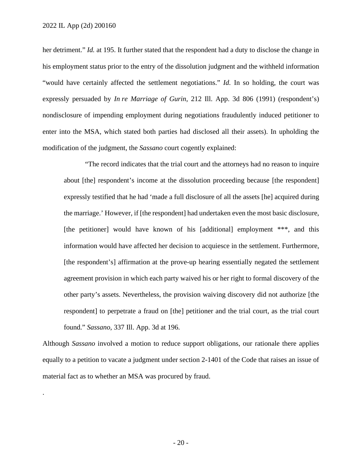.

her detriment." *Id.* at 195. It further stated that the respondent had a duty to disclose the change in his employment status prior to the entry of the dissolution judgment and the withheld information "would have certainly affected the settlement negotiations." *Id.* In so holding, the court was expressly persuaded by *In re Marriage of Gurin*, 212 Ill. App. 3d 806 (1991) (respondent's) nondisclosure of impending employment during negotiations fraudulently induced petitioner to enter into the MSA, which stated both parties had disclosed all their assets). In upholding the modification of the judgment, the *Sassano* court cogently explained:

"The record indicates that the trial court and the attorneys had no reason to inquire about [the] respondent's income at the dissolution proceeding because [the respondent] expressly testified that he had 'made a full disclosure of all the assets [he] acquired during the marriage.' However, if [the respondent] had undertaken even the most basic disclosure, [the petitioner] would have known of his [additional] employment \*\*\*, and this information would have affected her decision to acquiesce in the settlement. Furthermore, [the respondent's] affirmation at the prove-up hearing essentially negated the settlement agreement provision in which each party waived his or her right to formal discovery of the other party's assets. Nevertheless, the provision waiving discovery did not authorize [the respondent] to perpetrate a fraud on [the] petitioner and the trial court, as the trial court found." *Sassano*, 337 Ill. App. 3d at 196.

Although *Sassano* involved a motion to reduce support obligations, our rationale there applies equally to a petition to vacate a judgment under section 2-1401 of the Code that raises an issue of material fact as to whether an MSA was procured by fraud.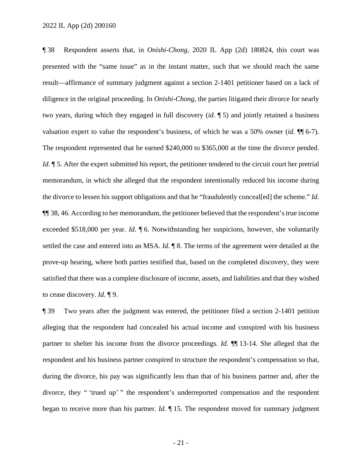¶ 38 Respondent asserts that, in *Onishi-Chong*, 2020 IL App (2d) 180824, this court was presented with the "same issue" as in the instant matter, such that we should reach the same result—affirmance of summary judgment against a section 2-1401 petitioner based on a lack of diligence in the original proceeding. In *Onishi-Chong*, the parties litigated their divorce for nearly two years, during which they engaged in full discovery (*id.* ¶ 5) and jointly retained a business valuation expert to value the respondent's business, of which he was a 50% owner (*id.* ¶¶ 6-7). The respondent represented that he earned \$240,000 to \$365,000 at the time the divorce pended. *Id.*  $\parallel$  5. After the expert submitted his report, the petitioner tendered to the circuit court her pretrial memorandum, in which she alleged that the respondent intentionally reduced his income during the divorce to lessen his support obligations and that he "fraudulently conceal[ed] the scheme." *Id.* ¶¶ 38, 46. According to her memorandum, the petitioner believed that the respondent's true income exceeded \$518,000 per year. *Id.* ¶ 6. Notwithstanding her suspicions, however, she voluntarily settled the case and entered into an MSA. *Id.* ¶ 8. The terms of the agreement were detailed at the prove-up hearing, where both parties testified that, based on the completed discovery, they were satisfied that there was a complete disclosure of income, assets, and liabilities and that they wished to cease discovery. *Id.* ¶ 9.

¶ 39 Two years after the judgment was entered, the petitioner filed a section 2-1401 petition alleging that the respondent had concealed his actual income and conspired with his business partner to shelter his income from the divorce proceedings. *Id.* ¶¶ 13-14. She alleged that the respondent and his business partner conspired to structure the respondent's compensation so that, during the divorce, his pay was significantly less than that of his business partner and, after the divorce, they " 'trued up' " the respondent's underreported compensation and the respondent began to receive more than his partner. *Id.* ¶ 15. The respondent moved for summary judgment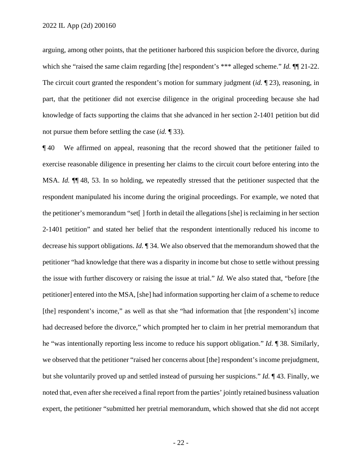arguing, among other points, that the petitioner harbored this suspicion before the divorce, during which she "raised the same claim regarding [the] respondent's \*\*\* alleged scheme." *Id.*  $\P$  21-22. The circuit court granted the respondent's motion for summary judgment *(id.* 123), reasoning, in part, that the petitioner did not exercise diligence in the original proceeding because she had knowledge of facts supporting the claims that she advanced in her section 2-1401 petition but did not pursue them before settling the case (*id.* ¶ 33).

¶ 40 We affirmed on appeal, reasoning that the record showed that the petitioner failed to exercise reasonable diligence in presenting her claims to the circuit court before entering into the MSA. *Id.* ¶¶ 48, 53. In so holding, we repeatedly stressed that the petitioner suspected that the respondent manipulated his income during the original proceedings. For example, we noted that the petitioner's memorandum "set[ ] forth in detail the allegations [she] is reclaiming in her section 2-1401 petition" and stated her belief that the respondent intentionally reduced his income to decrease his support obligations. *Id.* ¶ 34. We also observed that the memorandum showed that the petitioner "had knowledge that there was a disparity in income but chose to settle without pressing the issue with further discovery or raising the issue at trial." *Id.* We also stated that, "before [the petitioner] entered into the MSA, [she] had information supporting her claim of a scheme to reduce [the] respondent's income," as well as that she "had information that [the respondent's] income had decreased before the divorce," which prompted her to claim in her pretrial memorandum that he "was intentionally reporting less income to reduce his support obligation." *Id.* ¶ 38. Similarly, we observed that the petitioner "raised her concerns about [the] respondent's income prejudgment, but she voluntarily proved up and settled instead of pursuing her suspicions." *Id.* ¶ 43. Finally, we noted that, even after she received a final report from the parties' jointly retained business valuation expert, the petitioner "submitted her pretrial memorandum, which showed that she did not accept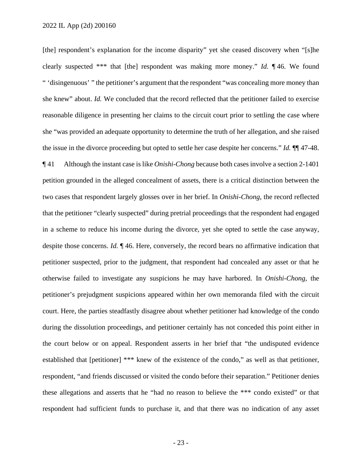[the] respondent's explanation for the income disparity" yet she ceased discovery when "[s]he clearly suspected \*\*\* that [the] respondent was making more money." *Id.* ¶ 46. We found " 'disingenuous' " the petitioner's argument that the respondent "was concealing more money than she knew" about. *Id.* We concluded that the record reflected that the petitioner failed to exercise reasonable diligence in presenting her claims to the circuit court prior to settling the case where she "was provided an adequate opportunity to determine the truth of her allegation, and she raised the issue in the divorce proceeding but opted to settle her case despite her concerns." *Id.* ¶¶ 47-48. ¶ 41 Although the instant case is like *Onishi-Chong* because both cases involve a section 2-1401 petition grounded in the alleged concealment of assets, there is a critical distinction between the two cases that respondent largely glosses over in her brief. In *Onishi-Chong*, the record reflected that the petitioner "clearly suspected" during pretrial proceedings that the respondent had engaged in a scheme to reduce his income during the divorce, yet she opted to settle the case anyway, despite those concerns. *Id.* ¶ 46. Here, conversely, the record bears no affirmative indication that petitioner suspected, prior to the judgment, that respondent had concealed any asset or that he otherwise failed to investigate any suspicions he may have harbored. In *Onishi-Chong*, the petitioner's prejudgment suspicions appeared within her own memoranda filed with the circuit court. Here, the parties steadfastly disagree about whether petitioner had knowledge of the condo during the dissolution proceedings, and petitioner certainly has not conceded this point either in the court below or on appeal. Respondent asserts in her brief that "the undisputed evidence established that [petitioner] \*\*\* knew of the existence of the condo," as well as that petitioner, respondent, "and friends discussed or visited the condo before their separation." Petitioner denies these allegations and asserts that he "had no reason to believe the \*\*\* condo existed" or that respondent had sufficient funds to purchase it, and that there was no indication of any asset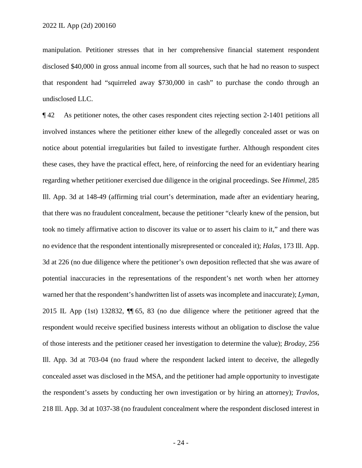manipulation. Petitioner stresses that in her comprehensive financial statement respondent disclosed \$40,000 in gross annual income from all sources, such that he had no reason to suspect that respondent had "squirreled away \$730,000 in cash" to purchase the condo through an undisclosed LLC.

¶ 42 As petitioner notes, the other cases respondent cites rejecting section 2-1401 petitions all involved instances where the petitioner either knew of the allegedly concealed asset or was on notice about potential irregularities but failed to investigate further. Although respondent cites these cases, they have the practical effect, here, of reinforcing the need for an evidentiary hearing regarding whether petitioner exercised due diligence in the original proceedings. See *Himmel*, 285 Ill. App. 3d at 148-49 (affirming trial court's determination, made after an evidentiary hearing, that there was no fraudulent concealment, because the petitioner "clearly knew of the pension, but took no timely affirmative action to discover its value or to assert his claim to it," and there was no evidence that the respondent intentionally misrepresented or concealed it); *Halas*, 173 Ill. App. 3d at 226 (no due diligence where the petitioner's own deposition reflected that she was aware of potential inaccuracies in the representations of the respondent's net worth when her attorney warned her that the respondent's handwritten list of assets was incomplete and inaccurate); *Lyman*, 2015 IL App (1st) 132832, ¶¶ 65, 83 (no due diligence where the petitioner agreed that the respondent would receive specified business interests without an obligation to disclose the value of those interests and the petitioner ceased her investigation to determine the value); *Broday*, 256 Ill. App. 3d at 703-04 (no fraud where the respondent lacked intent to deceive, the allegedly concealed asset was disclosed in the MSA, and the petitioner had ample opportunity to investigate the respondent's assets by conducting her own investigation or by hiring an attorney); *Travlos*, 218 Ill. App. 3d at 1037-38 (no fraudulent concealment where the respondent disclosed interest in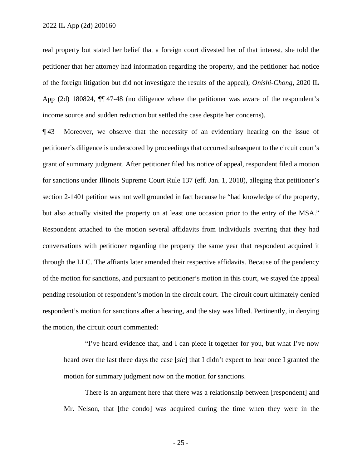real property but stated her belief that a foreign court divested her of that interest, she told the petitioner that her attorney had information regarding the property, and the petitioner had notice of the foreign litigation but did not investigate the results of the appeal); *Onishi-Chong*, 2020 IL App (2d) 180824, ¶¶ 47-48 (no diligence where the petitioner was aware of the respondent's income source and sudden reduction but settled the case despite her concerns).

¶ 43 Moreover, we observe that the necessity of an evidentiary hearing on the issue of petitioner's diligence is underscored by proceedings that occurred subsequent to the circuit court's grant of summary judgment. After petitioner filed his notice of appeal, respondent filed a motion for sanctions under Illinois Supreme Court Rule 137 (eff. Jan. 1, 2018), alleging that petitioner's section 2-1401 petition was not well grounded in fact because he "had knowledge of the property, but also actually visited the property on at least one occasion prior to the entry of the MSA." Respondent attached to the motion several affidavits from individuals averring that they had conversations with petitioner regarding the property the same year that respondent acquired it through the LLC. The affiants later amended their respective affidavits. Because of the pendency of the motion for sanctions, and pursuant to petitioner's motion in this court, we stayed the appeal pending resolution of respondent's motion in the circuit court. The circuit court ultimately denied respondent's motion for sanctions after a hearing, and the stay was lifted. Pertinently, in denying the motion, the circuit court commented:

"I've heard evidence that, and I can piece it together for you, but what I've now heard over the last three days the case [*sic*] that I didn't expect to hear once I granted the motion for summary judgment now on the motion for sanctions.

There is an argument here that there was a relationship between [respondent] and Mr. Nelson, that [the condo] was acquired during the time when they were in the

- 25 -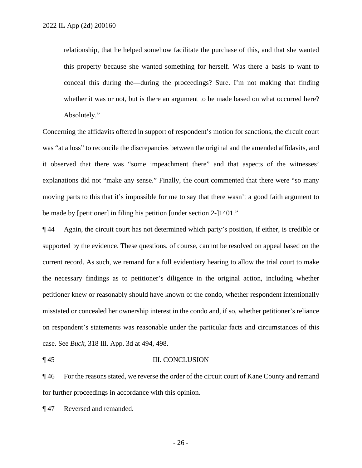relationship, that he helped somehow facilitate the purchase of this, and that she wanted this property because she wanted something for herself. Was there a basis to want to conceal this during the—during the proceedings? Sure. I'm not making that finding whether it was or not, but is there an argument to be made based on what occurred here? Absolutely."

Concerning the affidavits offered in support of respondent's motion for sanctions, the circuit court was "at a loss" to reconcile the discrepancies between the original and the amended affidavits, and it observed that there was "some impeachment there" and that aspects of the witnesses' explanations did not "make any sense." Finally, the court commented that there were "so many moving parts to this that it's impossible for me to say that there wasn't a good faith argument to be made by [petitioner] in filing his petition [under section 2-]1401."

¶ 44 Again, the circuit court has not determined which party's position, if either, is credible or supported by the evidence. These questions, of course, cannot be resolved on appeal based on the current record. As such, we remand for a full evidentiary hearing to allow the trial court to make the necessary findings as to petitioner's diligence in the original action, including whether petitioner knew or reasonably should have known of the condo, whether respondent intentionally misstated or concealed her ownership interest in the condo and, if so, whether petitioner's reliance on respondent's statements was reasonable under the particular facts and circumstances of this case. See *Buck*, 318 Ill. App. 3d at 494, 498.

#### ¶ 45 III. CONCLUSION

¶ 46 For the reasons stated, we reverse the order of the circuit court of Kane County and remand for further proceedings in accordance with this opinion.

¶ 47 Reversed and remanded.